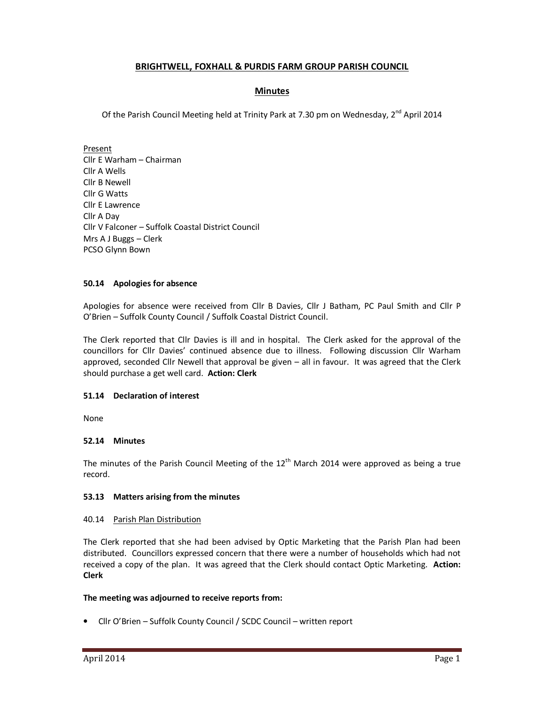# **BRIGHTWELL, FOXHALL & PURDIS FARM GROUP PARISH COUNCIL**

# **Minutes**

Of the Parish Council Meeting held at Trinity Park at 7.30 pm on Wednesday,  $2^{nd}$  April 2014

Present Cllr E Warham – Chairman Cllr A Wells Cllr B Newell Cllr G Watts Cllr E Lawrence Cllr A Day Cllr V Falconer – Suffolk Coastal District Council Mrs A J Buggs – Clerk PCSO Glynn Bown

# **50.14 Apologies for absence**

Apologies for absence were received from Cllr B Davies, Cllr J Batham, PC Paul Smith and Cllr P O'Brien – Suffolk County Council / Suffolk Coastal District Council.

The Clerk reported that Cllr Davies is ill and in hospital. The Clerk asked for the approval of the councillors for Cllr Davies' continued absence due to illness. Following discussion Cllr Warham approved, seconded Cllr Newell that approval be given – all in favour. It was agreed that the Clerk should purchase a get well card. **Action: Clerk** 

# **51.14 Declaration of interest**

None

# **52.14 Minutes**

The minutes of the Parish Council Meeting of the  $12<sup>th</sup>$  March 2014 were approved as being a true record.

# **53.13 Matters arising from the minutes**

### 40.14 Parish Plan Distribution

The Clerk reported that she had been advised by Optic Marketing that the Parish Plan had been distributed. Councillors expressed concern that there were a number of households which had not received a copy of the plan. It was agreed that the Clerk should contact Optic Marketing. **Action: Clerk** 

### **The meeting was adjourned to receive reports from:**

• Cllr O'Brien – Suffolk County Council / SCDC Council – written report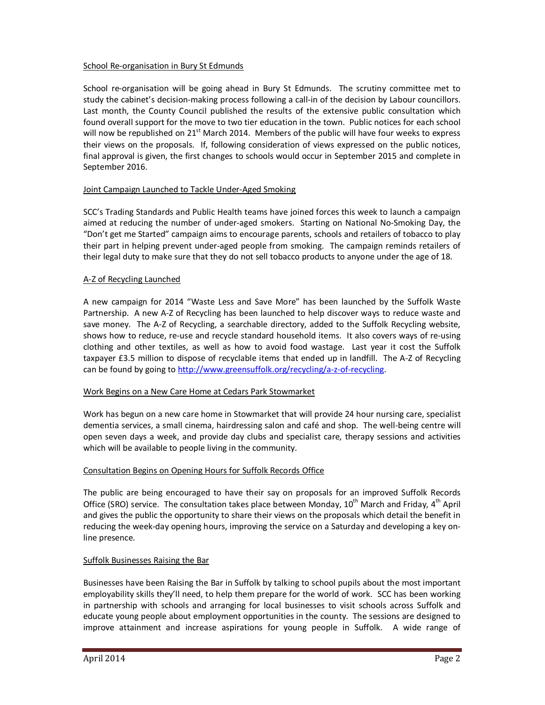### School Re-organisation in Bury St Edmunds

School re-organisation will be going ahead in Bury St Edmunds. The scrutiny committee met to study the cabinet's decision-making process following a call-in of the decision by Labour councillors. Last month, the County Council published the results of the extensive public consultation which found overall support for the move to two tier education in the town. Public notices for each school will now be republished on  $21^{st}$  March 2014. Members of the public will have four weeks to express their views on the proposals. If, following consideration of views expressed on the public notices, final approval is given, the first changes to schools would occur in September 2015 and complete in September 2016.

# Joint Campaign Launched to Tackle Under-Aged Smoking

SCC's Trading Standards and Public Health teams have joined forces this week to launch a campaign aimed at reducing the number of under-aged smokers. Starting on National No-Smoking Day, the "Don't get me Started" campaign aims to encourage parents, schools and retailers of tobacco to play their part in helping prevent under-aged people from smoking. The campaign reminds retailers of their legal duty to make sure that they do not sell tobacco products to anyone under the age of 18.

### A-Z of Recycling Launched

A new campaign for 2014 "Waste Less and Save More" has been launched by the Suffolk Waste Partnership. A new A-Z of Recycling has been launched to help discover ways to reduce waste and save money. The A-Z of Recycling, a searchable directory, added to the Suffolk Recycling website, shows how to reduce, re-use and recycle standard household items. It also covers ways of re-using clothing and other textiles, as well as how to avoid food wastage. Last year it cost the Suffolk taxpayer £3.5 million to dispose of recyclable items that ended up in landfill. The A-Z of Recycling can be found by going to http://www.greensuffolk.org/recycling/a-z-of-recycling.

# Work Begins on a New Care Home at Cedars Park Stowmarket

Work has begun on a new care home in Stowmarket that will provide 24 hour nursing care, specialist dementia services, a small cinema, hairdressing salon and café and shop. The well-being centre will open seven days a week, and provide day clubs and specialist care, therapy sessions and activities which will be available to people living in the community.

# Consultation Begins on Opening Hours for Suffolk Records Office

The public are being encouraged to have their say on proposals for an improved Suffolk Records Office (SRO) service. The consultation takes place between Monday, 10<sup>th</sup> March and Friday, 4<sup>th</sup> April and gives the public the opportunity to share their views on the proposals which detail the benefit in reducing the week-day opening hours, improving the service on a Saturday and developing a key online presence.

# Suffolk Businesses Raising the Bar

Businesses have been Raising the Bar in Suffolk by talking to school pupils about the most important employability skills they'll need, to help them prepare for the world of work. SCC has been working in partnership with schools and arranging for local businesses to visit schools across Suffolk and educate young people about employment opportunities in the county. The sessions are designed to improve attainment and increase aspirations for young people in Suffolk. A wide range of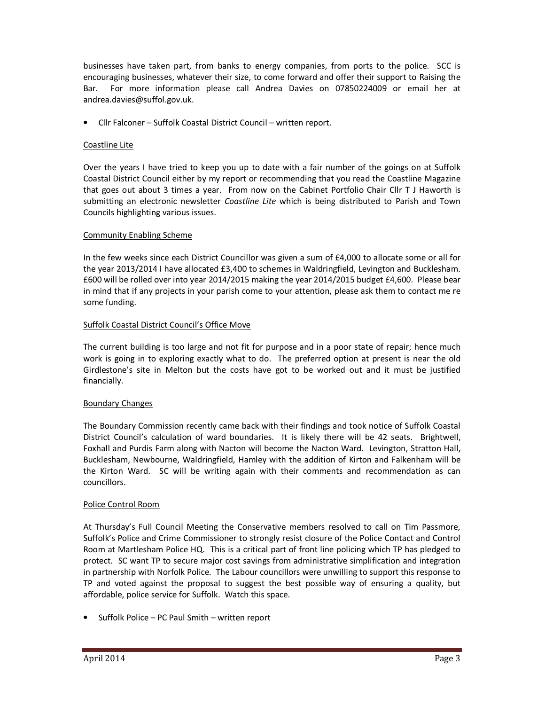businesses have taken part, from banks to energy companies, from ports to the police. SCC is encouraging businesses, whatever their size, to come forward and offer their support to Raising the Bar. For more information please call Andrea Davies on 07850224009 or email her at andrea.davies@suffol.gov.uk.

• Cllr Falconer – Suffolk Coastal District Council – written report.

# Coastline Lite

Over the years I have tried to keep you up to date with a fair number of the goings on at Suffolk Coastal District Council either by my report or recommending that you read the Coastline Magazine that goes out about 3 times a year. From now on the Cabinet Portfolio Chair Cllr T J Haworth is submitting an electronic newsletter *Coastline Lite* which is being distributed to Parish and Town Councils highlighting various issues.

# Community Enabling Scheme

In the few weeks since each District Councillor was given a sum of £4,000 to allocate some or all for the year 2013/2014 I have allocated £3,400 to schemes in Waldringfield, Levington and Bucklesham. £600 will be rolled over into year 2014/2015 making the year 2014/2015 budget £4,600. Please bear in mind that if any projects in your parish come to your attention, please ask them to contact me re some funding.

# Suffolk Coastal District Council's Office Move

The current building is too large and not fit for purpose and in a poor state of repair; hence much work is going in to exploring exactly what to do. The preferred option at present is near the old Girdlestone's site in Melton but the costs have got to be worked out and it must be justified financially.

# Boundary Changes

The Boundary Commission recently came back with their findings and took notice of Suffolk Coastal District Council's calculation of ward boundaries. It is likely there will be 42 seats. Brightwell, Foxhall and Purdis Farm along with Nacton will become the Nacton Ward. Levington, Stratton Hall, Bucklesham, Newbourne, Waldringfield, Hamley with the addition of Kirton and Falkenham will be the Kirton Ward. SC will be writing again with their comments and recommendation as can councillors.

# Police Control Room

At Thursday's Full Council Meeting the Conservative members resolved to call on Tim Passmore, Suffolk's Police and Crime Commissioner to strongly resist closure of the Police Contact and Control Room at Martlesham Police HQ. This is a critical part of front line policing which TP has pledged to protect. SC want TP to secure major cost savings from administrative simplification and integration in partnership with Norfolk Police. The Labour councillors were unwilling to support this response to TP and voted against the proposal to suggest the best possible way of ensuring a quality, but affordable, police service for Suffolk. Watch this space.

• Suffolk Police – PC Paul Smith – written report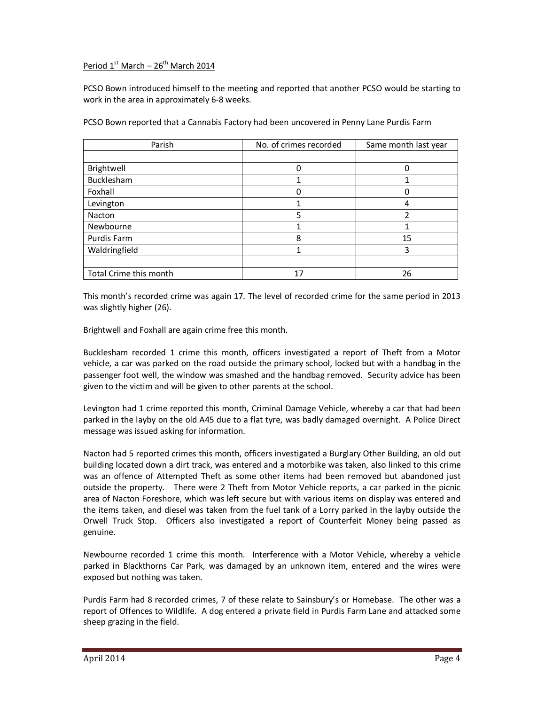# Period  $1^{st}$  March –  $26^{th}$  March 2014

PCSO Bown introduced himself to the meeting and reported that another PCSO would be starting to work in the area in approximately 6-8 weeks.

| Parish                 | No. of crimes recorded | Same month last year |
|------------------------|------------------------|----------------------|
|                        |                        |                      |
| Brightwell             |                        |                      |
| Bucklesham             |                        |                      |
| Foxhall                |                        |                      |
| Levington              |                        |                      |
| Nacton                 | 5                      | 2                    |
| Newbourne              |                        |                      |
| Purdis Farm            | 8                      | 15                   |
| Waldringfield          | ٠                      | 3                    |
|                        |                        |                      |
| Total Crime this month |                        | 26                   |

PCSO Bown reported that a Cannabis Factory had been uncovered in Penny Lane Purdis Farm

This month's recorded crime was again 17. The level of recorded crime for the same period in 2013 was slightly higher (26).

Brightwell and Foxhall are again crime free this month.

Bucklesham recorded 1 crime this month, officers investigated a report of Theft from a Motor vehicle, a car was parked on the road outside the primary school, locked but with a handbag in the passenger foot well, the window was smashed and the handbag removed. Security advice has been given to the victim and will be given to other parents at the school.

Levington had 1 crime reported this month, Criminal Damage Vehicle, whereby a car that had been parked in the layby on the old A45 due to a flat tyre, was badly damaged overnight. A Police Direct message was issued asking for information.

Nacton had 5 reported crimes this month, officers investigated a Burglary Other Building, an old out building located down a dirt track, was entered and a motorbike was taken, also linked to this crime was an offence of Attempted Theft as some other items had been removed but abandoned just outside the property. There were 2 Theft from Motor Vehicle reports, a car parked in the picnic area of Nacton Foreshore, which was left secure but with various items on display was entered and the items taken, and diesel was taken from the fuel tank of a Lorry parked in the layby outside the Orwell Truck Stop. Officers also investigated a report of Counterfeit Money being passed as genuine.

Newbourne recorded 1 crime this month. Interference with a Motor Vehicle, whereby a vehicle parked in Blackthorns Car Park, was damaged by an unknown item, entered and the wires were exposed but nothing was taken.

Purdis Farm had 8 recorded crimes, 7 of these relate to Sainsbury's or Homebase. The other was a report of Offences to Wildlife. A dog entered a private field in Purdis Farm Lane and attacked some sheep grazing in the field.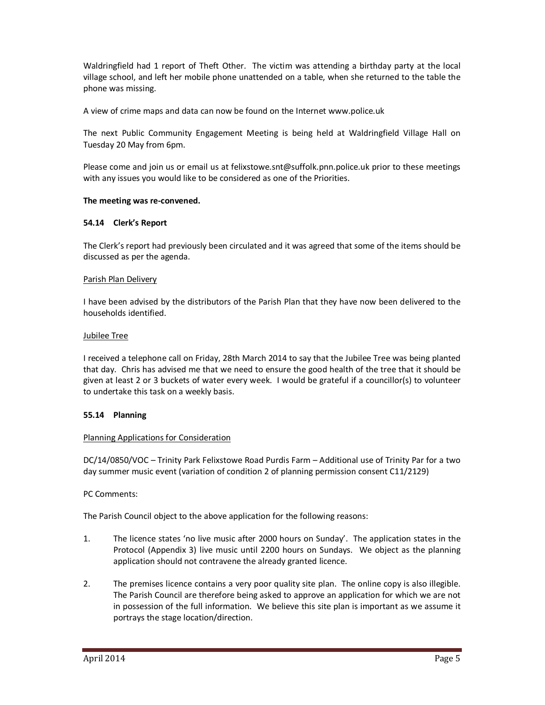Waldringfield had 1 report of Theft Other. The victim was attending a birthday party at the local village school, and left her mobile phone unattended on a table, when she returned to the table the phone was missing.

A view of crime maps and data can now be found on the Internet www.police.uk

The next Public Community Engagement Meeting is being held at Waldringfield Village Hall on Tuesday 20 May from 6pm.

Please come and join us or email us at felixstowe.snt@suffolk.pnn.police.uk prior to these meetings with any issues you would like to be considered as one of the Priorities.

### **The meeting was re-convened.**

### **54.14 Clerk's Report**

The Clerk's report had previously been circulated and it was agreed that some of the items should be discussed as per the agenda.

### Parish Plan Delivery

I have been advised by the distributors of the Parish Plan that they have now been delivered to the households identified.

### Jubilee Tree

I received a telephone call on Friday, 28th March 2014 to say that the Jubilee Tree was being planted that day. Chris has advised me that we need to ensure the good health of the tree that it should be given at least 2 or 3 buckets of water every week. I would be grateful if a councillor(s) to volunteer to undertake this task on a weekly basis.

# **55.14 Planning**

### Planning Applications for Consideration

DC/14/0850/VOC – Trinity Park Felixstowe Road Purdis Farm – Additional use of Trinity Par for a two day summer music event (variation of condition 2 of planning permission consent C11/2129)

### PC Comments:

The Parish Council object to the above application for the following reasons:

- 1. The licence states 'no live music after 2000 hours on Sunday'. The application states in the Protocol (Appendix 3) live music until 2200 hours on Sundays. We object as the planning application should not contravene the already granted licence.
- 2. The premises licence contains a very poor quality site plan. The online copy is also illegible. The Parish Council are therefore being asked to approve an application for which we are not in possession of the full information. We believe this site plan is important as we assume it portrays the stage location/direction.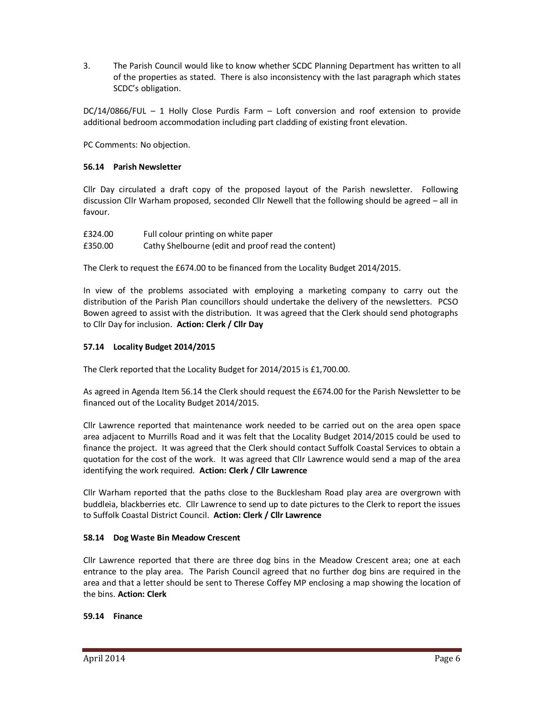3. The Parish Council would like to know whether SCDC Planning Department has written to all of the properties as stated. There is also inconsistency with the last paragraph which states SCDC's obligation.

DC/14/0866/FUL – 1 Holly Close Purdis Farm – Loft conversion and roof extension to provide additional bedroom accommodation including part cladding of existing front elevation.

PC Comments: No objection.

# **56.14 Parish Newsletter**

Cllr Day circulated a draft copy of the proposed layout of the Parish newsletter. Following discussion Cllr Warham proposed, seconded Cllr Newell that the following should be agreed – all in favour.

| £324.00 | Full colour printing on white paper                |
|---------|----------------------------------------------------|
| £350.00 | Cathy Shelbourne (edit and proof read the content) |

The Clerk to request the £674.00 to be financed from the Locality Budget 2014/2015.

In view of the problems associated with employing a marketing company to carry out the distribution of the Parish Plan councillors should undertake the delivery of the newsletters. PCSO Bowen agreed to assist with the distribution. It was agreed that the Clerk should send photographs to Cllr Day for inclusion. **Action: Clerk / Cllr Day** 

# **57.14 Locality Budget 2014/2015**

The Clerk reported that the Locality Budget for 2014/2015 is £1,700.00.

As agreed in Agenda Item 56.14 the Clerk should request the £674.00 for the Parish Newsletter to be financed out of the Locality Budget 2014/2015.

Cllr Lawrence reported that maintenance work needed to be carried out on the area open space area adjacent to Murrills Road and it was felt that the Locality Budget 2014/2015 could be used to finance the project. It was agreed that the Clerk should contact Suffolk Coastal Services to obtain a quotation for the cost of the work. It was agreed that Cllr Lawrence would send a map of the area identifying the work required. **Action: Clerk / Cllr Lawrence** 

Cllr Warham reported that the paths close to the Bucklesham Road play area are overgrown with buddleia, blackberries etc. Cllr Lawrence to send up to date pictures to the Clerk to report the issues to Suffolk Coastal District Council. **Action: Clerk / Cllr Lawrence** 

# **58.14 Dog Waste Bin Meadow Crescent**

Cllr Lawrence reported that there are three dog bins in the Meadow Crescent area; one at each entrance to the play area. The Parish Council agreed that no further dog bins are required in the area and that a letter should be sent to Therese Coffey MP enclosing a map showing the location of the bins. **Action: Clerk**

### **59.14 Finance**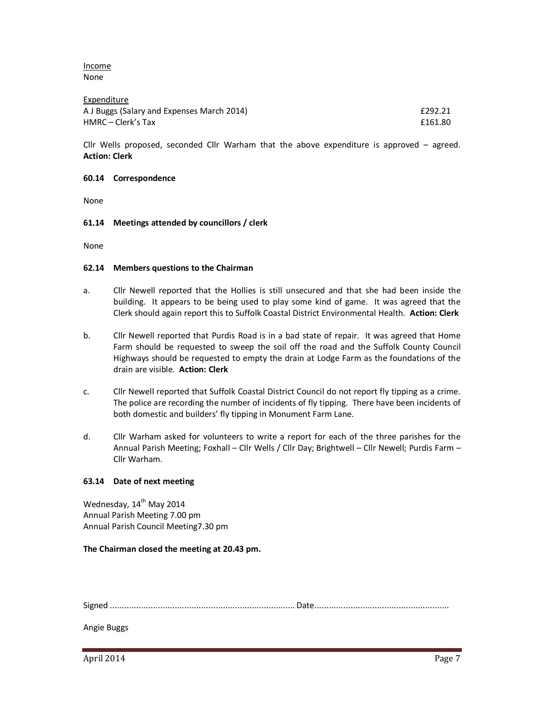Income None

| Expenditure                                |         |
|--------------------------------------------|---------|
| A J Buggs (Salary and Expenses March 2014) | £292.21 |
| HMRC – Clerk's Tax                         | £161.80 |

Cllr Wells proposed, seconded Cllr Warham that the above expenditure is approved – agreed. **Action: Clerk** 

### **60.14 Correspondence**

None

### **61.14 Meetings attended by councillors / clerk**

None

#### **62.14 Members questions to the Chairman**

- a. Cllr Newell reported that the Hollies is still unsecured and that she had been inside the building. It appears to be being used to play some kind of game. It was agreed that the Clerk should again report this to Suffolk Coastal District Environmental Health. **Action: Clerk**
- b. Cllr Newell reported that Purdis Road is in a bad state of repair. It was agreed that Home Farm should be requested to sweep the soil off the road and the Suffolk County Council Highways should be requested to empty the drain at Lodge Farm as the foundations of the drain are visible. **Action: Clerk**
- c. Cllr Newell reported that Suffolk Coastal District Council do not report fly tipping as a crime. The police are recording the number of incidents of fly tipping. There have been incidents of both domestic and builders' fly tipping in Monument Farm Lane.
- d. Cllr Warham asked for volunteers to write a report for each of the three parishes for the Annual Parish Meeting; Foxhall – Cllr Wells / Cllr Day; Brightwell – Cllr Newell; Purdis Farm – Cllr Warham.

### **63.14 Date of next meeting**

Wednesday, 14<sup>th</sup> May 2014 Annual Parish Meeting 7.00 pm Annual Parish Council Meeting7.30 pm

### **The Chairman closed the meeting at 20.43 pm.**

Signed ............................................................................. Date ........................................................

Angie Buggs